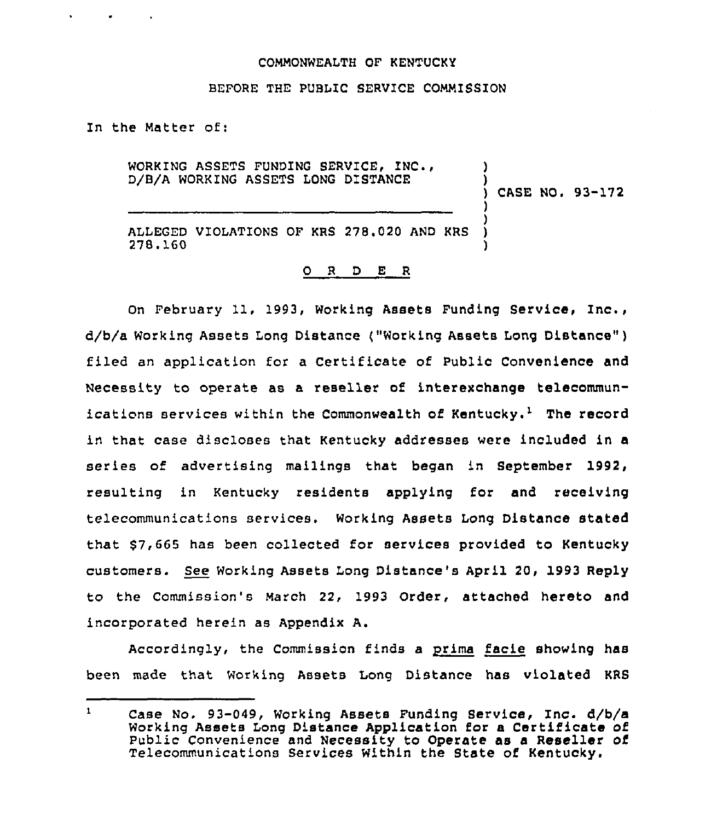### COMMONWEALTH OF KENTUCKY

### BEFORE THE PUBLIC SERVICE COMMISSION

In the Matter of:

**Contract Contract Contract Contract** 

WORKING ASSETS FUNDING SERVICE, INC., D/B/A WORKING ASSETS LONG DISTANCE ) ) ) CASE NO, 93-172 ) )

ALLEGED VIOLATIONS OF KRS 278.020 AND KRS 27B.160 )

#### 0 <sup>R</sup> <sup>D</sup> E R

On February 11, 1993, Working Assets Funding Service, Inc., d/b/a Working Assets Long Distance ("Working Assets Long Distance" ) filed an application for a Certificate of Public Convenience and Necessity to operate as a reseller of interexchange telecommunications services within the Commonwealth of Kentucky.<sup>1</sup> The record in that case discloses that Kentucky addresses were included in a series of advertising mailings that began in September 1992, resulting in Kentucky residents applying for and receiving telecommunications services. Working Assets Long Distance stated that \$7,665 has been collected for services provided to Kentucky customers. See Working Assets Long Distance's April 20, 1993 Reply to the Commission's March 22, 1993 Order, attached hereto and incorporated herein as Appendix A.

Accordingly, the Commission finds a prima facie showing has been made that Working Assets Long Distance has violated KRS

 $\mathbf{1}$ Case No, 93-049, Working Assets Funding Service, Inc. d/b/a Working Assets Long Distance Application for a Certificate of public convenience and Necessity to Operate as a Reseller of Telecommunications Services Within the State of Kentucky.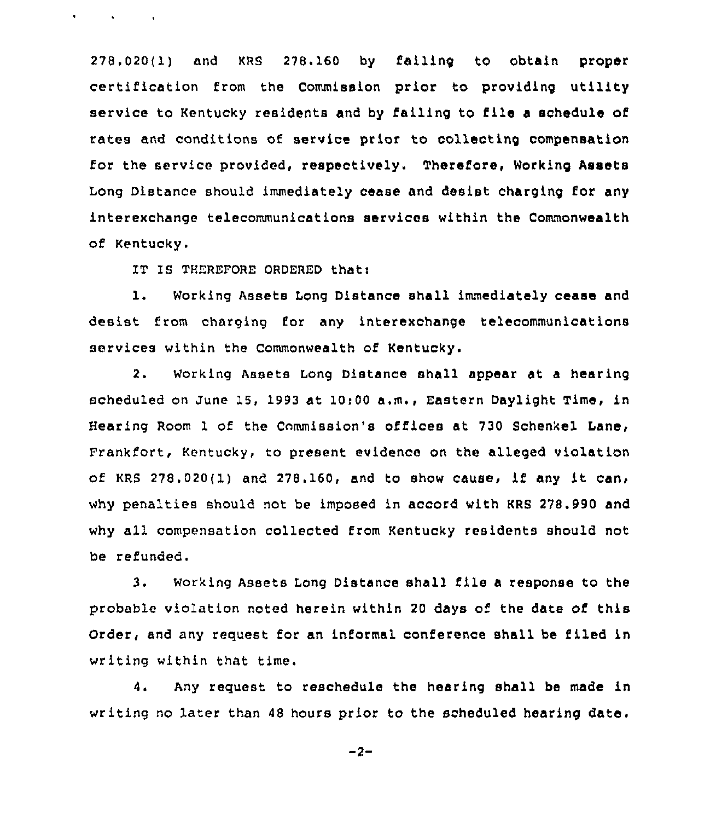278.020(1) and KRS 278.160 by failing to obtain proper certification from the Commission prior to providing utility service to Kentucky residents and by failing to file <sup>a</sup> schedule of rates and conditions of service prior to collecting compensation for the service provided, respectively. Therefore, Working Assets Long Distance should immediately cease and desist charging for any interexchange telecommunications services within the Commonwealth of Kentucky.

IT IS THEREFORE ORDERED thatt

 $\mathbf{r} = \left\{ \mathbf{r} \in \mathbb{R}^d \mid \mathbf{r} \in \mathbb{R}^d \mid \mathbf{r} \in \mathbb{R}^d \right\}$ 

l. Working Assets Long Distance shall immediately cease and desist from charging for any interexchange telecommunications services within the Commonwealth of Kentucky.

2. Working Assets Long Distance shall appear at a hearing scheduled on June 15, 1993 at 10:00 a.m., Eastern Daylight Time, in Hearing Room <sup>1</sup> of the Commission's offices at 730 Schenkel Lane, Frankfort, Kentucky, to present evidence on the alleged violation of KRS 278.020(1) and 27S.160, and to show cause, if any it can, why penalties should not be imposed in accord with KRS 278.990 and why all compensation collected from Kentucky residents should not be refunded.

3. Working Assets Long Distance shall file <sup>a</sup> response to the probable violation noted herein within 20 days of the date of this Order, and any request for an informal conference shall be filed in writing within that time.

4. Any request to reschedule the hearing shall be made in writing no later than 48 hours prior to the scheduled hearing date.

 $-2-$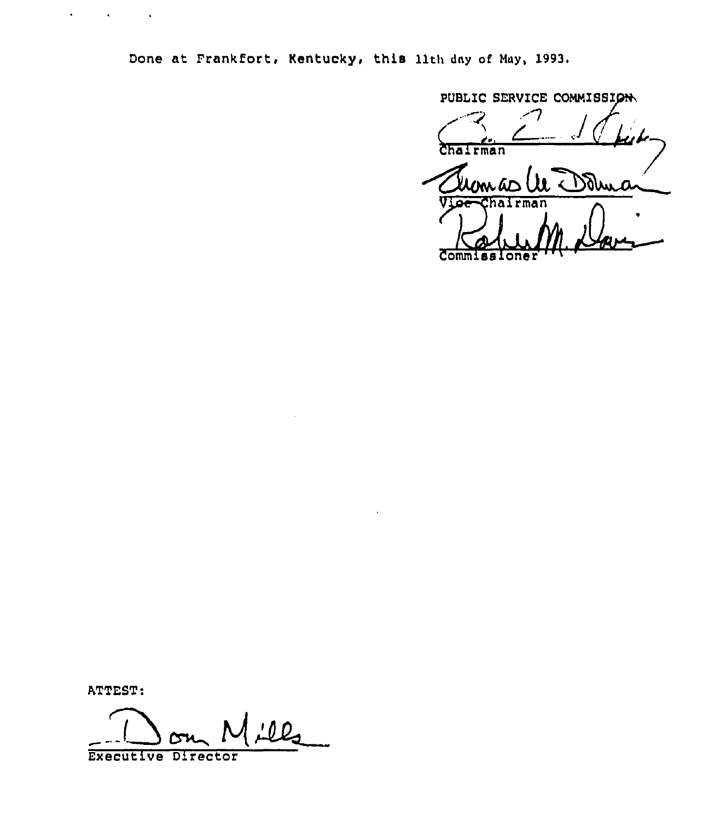Done at Frankfort, Kentucky, this 11th day of May, 1993.

PUBLIC SERVICE COMMISSI Chairman alumas UL Dolma Commissione

ATTEST:

 $\mathbf{v} = \mathbf{v} \times \mathbf{v}$  , we have  $\mathbf{v} = \mathbf{v} \times \mathbf{v}$ 

<u>:12</u> Executive Director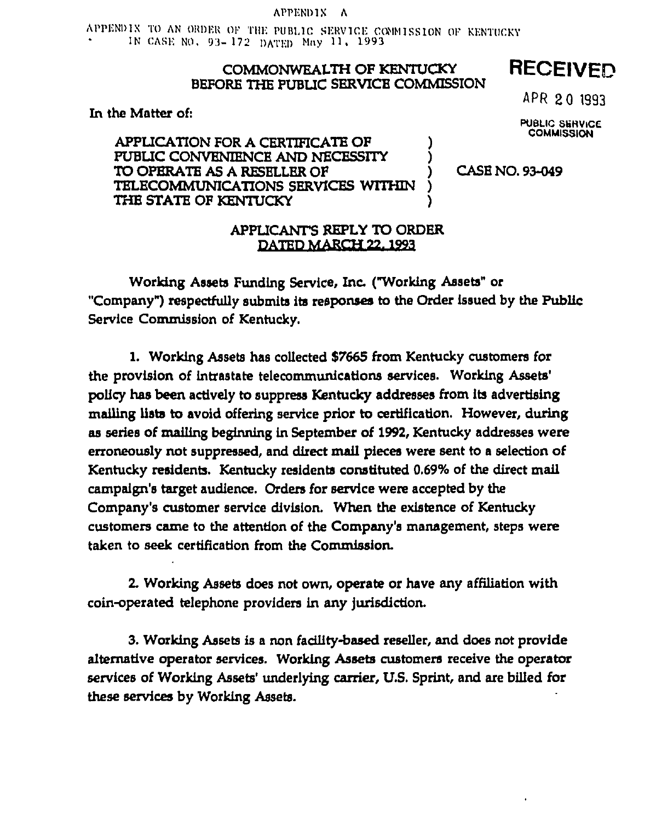## APPENDIX A

APPENDIX TO AN ORDER OF THE PUBLIC SERVICE COMMISSION OF KENTUCKY IN CASE NO. 93-172 DATED May 11, 1993.

# COMMONWEALTH OF KENTUCKY BEFORE THE PUBLIC SERVICE COMMISSION

In the Matter of:

APPLICATION FOR A CERTIFICATE OF PUBLIC CONVENIENCE AND NECESSITY TO OPERATE AS A RESELLER OF TELECOMMUNICATIONS SERVICES WITHIN THE STATE OF KENTUCKY

APR 20 1993

**RECEIVED** 

**PUBLIC SERVICE COMMISSION** 

CASE NO. 93-049

# APPLICANT'S REPLY TO ORDER DATED MARCH 22, 1993

Working Assets Funding Service, Inc. ("Working Assets" or "Company") respectfully submits its responses to the Order issued by the Public Service Commission of Kentucky.

1. Working Assets has collected \$7665 from Kentucky customers for the provision of intrastate telecommunications services. Working Assets' policy has been actively to suppress Kentucky addresses from its advertising mailing lists to avoid offering service prior to certification. However, during as series of mailing beginning in September of 1992, Kentucky addresses were erroneously not suppressed, and direct mail pieces were sent to a selection of Kentucky residents. Kentucky residents constituted 0.69% of the direct mail campaign's target audience. Orders for service were accepted by the Company's customer service division. When the existence of Kentucky customers came to the attention of the Company's management, steps were taken to seek certification from the Commission.

2. Working Assets does not own, operate or have any affiliation with coin-operated telephone providers in any jurisdiction.

3. Working Assets is a non facility-based reseller, and does not provide alternative operator services. Working Assets customers receive the operator services of Working Assets' underlying carrier, U.S. Sprint, and are billed for these services by Working Assets.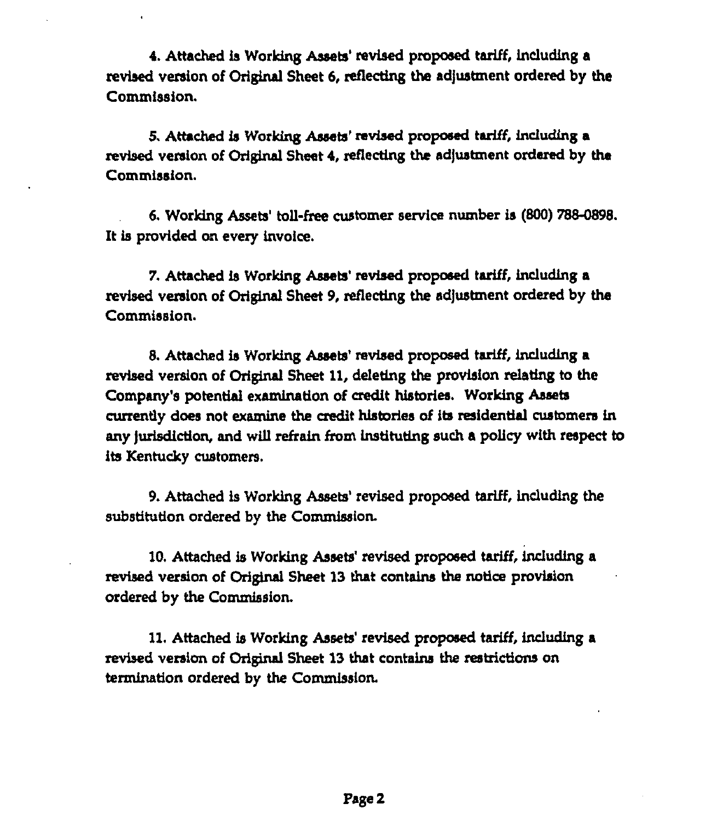4. Attached is Working Assets' revised proposed tariff, including a revised version of Original Sheet 6, reflecting the adjustment ordered by the Commission.

5. Attached is Working Assets' revised proposed tariff, including a revised version of Original Sheet 4, reflecting the adjustment ordered by the Commission.

6. Working Assets' toll-free customer service number is (800) 788-0898. It is provided on every invoice.

7. Attached is Working Assets' revised proposed tariff, including a revised version of Original Sheet 9, reflecting the adjustment ordered by the Commission.

8. Attached is Working Assets' revised proposed tariff, including a revised version of Original Sheet 11, deleting the provision relating to the Company's potential examination of credit histories. Working Assets currently does not examine the credit histories of its residential customers in any jurisdiction, and will refrain from instituting such a policy with respect to iis Kentucky customers.

9. Attached is Working Assets' revised proposed tariff, including the substitution ordered by the Commission.

10. Attached is Working Assets' revised proposed tariff, including a revised version of Original Sheet 13 that contains the notice provision ordered by the Commission.

11. Attached is Working Assets' revised proposed tariff, including a revised version of Original Sheet 13 that contains the restricdons on termination ordered by the Commission.